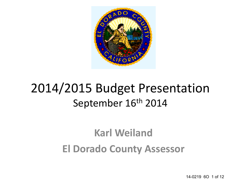

## 2014/2015 Budget Presentation September 16th 2014

## **Karl Weiland El Dorado County Assessor**

14-0219 6O 1 of 12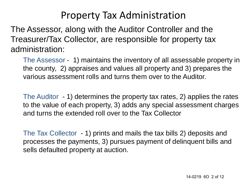### Property Tax Administration

The Assessor, along with the Auditor Controller and the Treasurer/Tax Collector, are responsible for property tax administration:

The Assessor - 1) maintains the inventory of all assessable property in the county, 2) appraises and values all property and 3) prepares the various assessment rolls and turns them over to the Auditor.

The Auditor - 1) determines the property tax rates, 2) applies the rates to the value of each property, 3) adds any special assessment charges and turns the extended roll over to the Tax Collector

The Tax Collector - 1) prints and mails the tax bills 2) deposits and processes the payments, 3) pursues payment of delinquent bills and sells defaulted property at auction.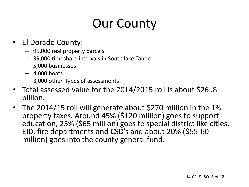# Our County

- El Dorado County:
	- 95,000 real property parcels
	- 39,000 timeshare intervals in South lake Tahoe
	- 5,000 businesses
	- $-4,000$  boats
	- 3,000 other types of assessments
- Total assessed value for the 2014/2015 roll is about \$26 .8 billion.
- The 2014/15 roll will generate about \$270 million in the 1% property taxes. Around 45% (\$120 million) goes to support education, 25% (\$65 million) goes to special district like cities, EID, fire departments and CSD's and about 20% (\$55-60 million) goes into the county general fund.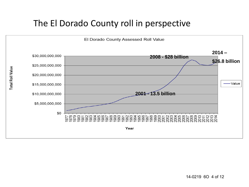#### The El Dorado County roll in perspective

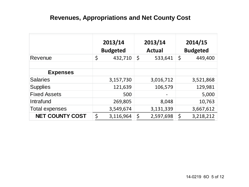#### **Revenues, Appropriations and Net County Cost**

|                        | 2013/14 |                 | 2013/14 |               | 2014/15 |                 |
|------------------------|---------|-----------------|---------|---------------|---------|-----------------|
|                        |         | <b>Budgeted</b> |         | <b>Actual</b> |         | <b>Budgeted</b> |
| Revenue                | \$      | 432,710         | \$      | 533,641       | \$      | 449,400         |
|                        |         |                 |         |               |         |                 |
| <b>Expenses</b>        |         |                 |         |               |         |                 |
| <b>Salaries</b>        |         | 3,157,730       |         | 3,016,712     |         | 3,521,868       |
| <b>Supplies</b>        |         | 121,639         |         | 106,579       |         | 129,981         |
| <b>Fixed Assets</b>    |         | 500             |         |               |         | 5,000           |
| Intrafund              |         | 269,805         |         | 8,048         |         | 10,763          |
| Total expenses         |         | 3,549,674       |         | 3,131,339     |         | 3,667,612       |
| <b>NET COUNTY COST</b> | \$      | 3,116,964       | \$      | 2,597,698     | \$      | 3,218,212       |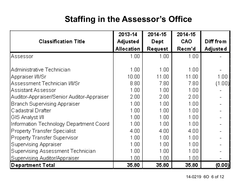#### **Staffing in the Assessor's Office**

|                                            | 2013-14           | 2014-15 | 2014-15    |           |
|--------------------------------------------|-------------------|---------|------------|-----------|
| <b>Classification Title</b>                | Adjusted          | Dept    | <b>CAO</b> | Diff from |
|                                            | Allocation        | Request | Recm'd     | Adjuste d |
| lAssessor                                  | 1.00              | 1.00    | 1.00       |           |
|                                            |                   |         |            |           |
| Administrative Technician                  | 1.00              | 1.00    | 1.00       |           |
| Appraiser MI/Sri                           | 10.00             | 11.00   | 11.00      | $1.00\,$  |
| Assessment Technician MI/Sr                | 8.80              | 7.80    | 7.80       | (1.00)    |
| Assistant Assessor                         | 1.00.             | 1.00    | 1.00       |           |
| Auditor-Appraiser/Senior Auditor-Appraiser | 2.00 <sub>1</sub> | 2.00    | 2.00       |           |
| Branch Supervising Appraiser               | 1.00              | 1.00    | 1.00       |           |
| Cadastral Drafter                          | 1.00              | 1.00    | 1.00       |           |
| ∣GIS Analγst I/II                          | 1.00              | 1.00    | 1.00       |           |
| Information Technology Department Coord    | 1.00              | 1.00    | 1.00       |           |
| Property Transfer Specialist               | 4.00.             | 4.00    | 4.00       |           |
| Property Transfer Supervisor               | 1.00              | 1.00    | 1.00       |           |
| Supervising Appraiser                      | 1.00              | 1.00    | 1.00       |           |
| Supervising Assessment Technician          | 1.00              | 1.00    | 1.00       |           |
| Supervising Auditor/Appraiser              | 1.00              | 1.00    | 1.00       |           |
| Department Total                           | 35.80             | 35.80   | 35.80      | (0.00)    |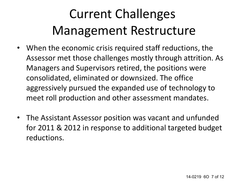# Current Challenges Management Restructure

- When the economic crisis required staff reductions, the Assessor met those challenges mostly through attrition. As Managers and Supervisors retired, the positions were consolidated, eliminated or downsized. The office aggressively pursued the expanded use of technology to meet roll production and other assessment mandates.
- The Assistant Assessor position was vacant and unfunded for 2011 & 2012 in response to additional targeted budget reductions.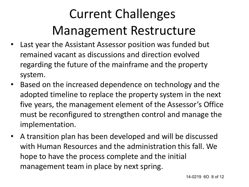# Current Challenges Management Restructure

- Last year the Assistant Assessor position was funded but remained vacant as discussions and direction evolved regarding the future of the mainframe and the property system.
- Based on the increased dependence on technology and the adopted timeline to replace the property system in the next five years, the management element of the Assessor's Office must be reconfigured to strengthen control and manage the implementation.
- A transition plan has been developed and will be discussed with Human Resources and the administration this fall. We hope to have the process complete and the initial management team in place by next spring.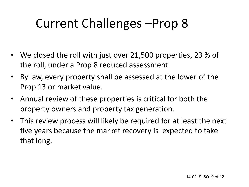# Current Challenges –Prop 8

- We closed the roll with just over 21,500 properties, 23 % of the roll, under a Prop 8 reduced assessment.
- By law, every property shall be assessed at the lower of the Prop 13 or market value.
- Annual review of these properties is critical for both the property owners and property tax generation.
- This review process will likely be required for at least the next five years because the market recovery is expected to take that long.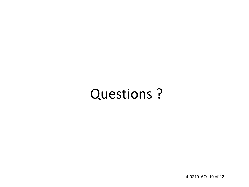# Questions ?

14-0219 6O 10 of 12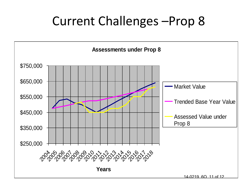## Current Challenges –Prop 8